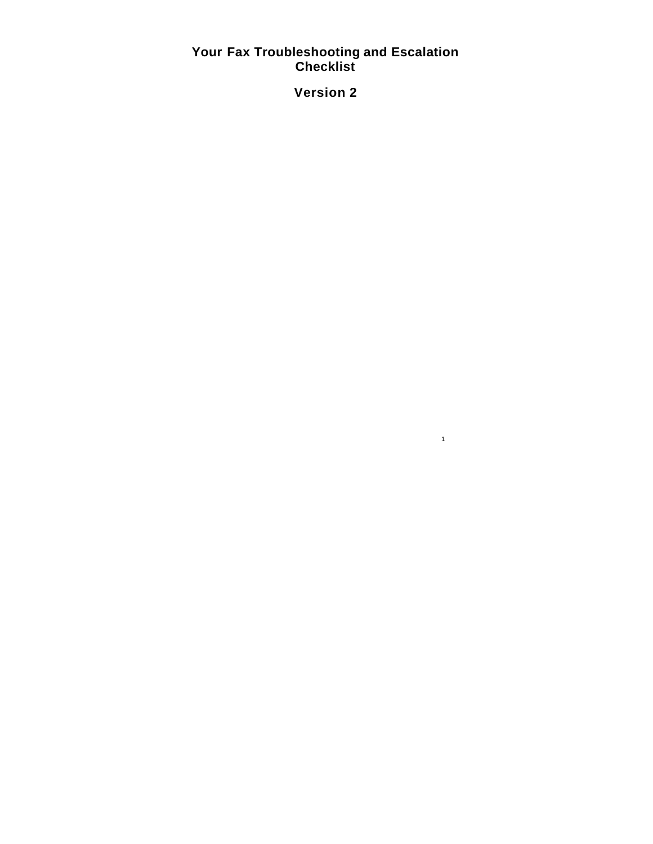# **Your Fax Troubleshooting and Escalation Checklist**

**Version 2**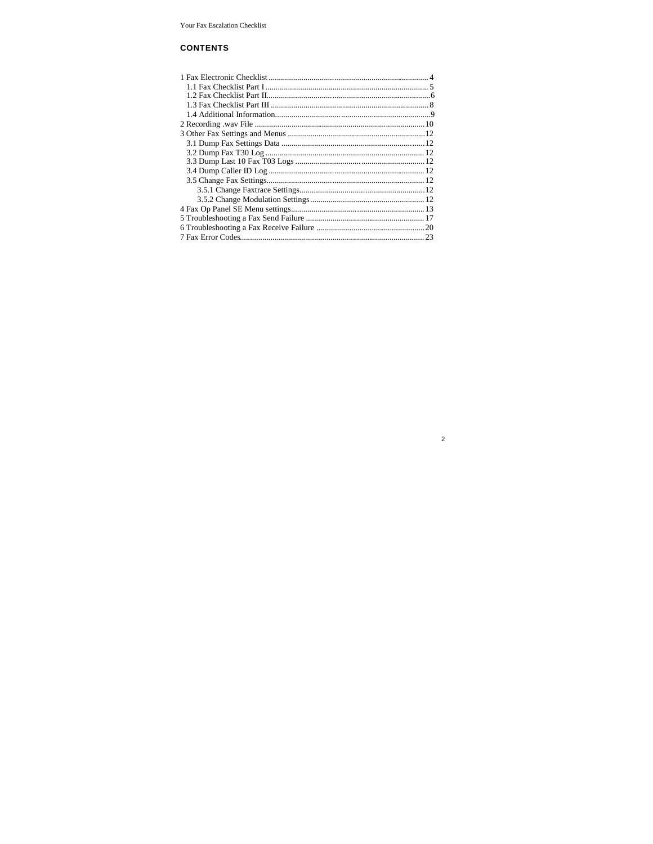# **CONTENTS**

| 7 Fax Error Codes 23 |  |
|----------------------|--|

 $\overline{c}$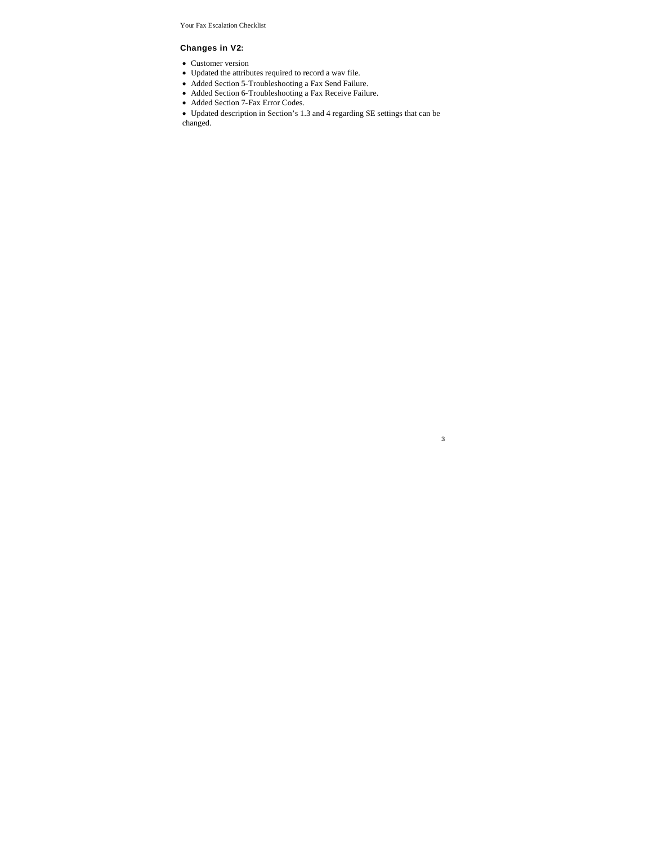### **Changes in V2:**

- Customer version
- Updated the attributes required to record a wav file.
- Added Section 5-Troubleshooting a Fax Send Failure.
- Added Section 6-Troubleshooting a Fax Receive Failure.
- Added Section 7-Fax Error Codes.

Updated description in Section's 1.3 and 4 regarding SE settings that can be changed.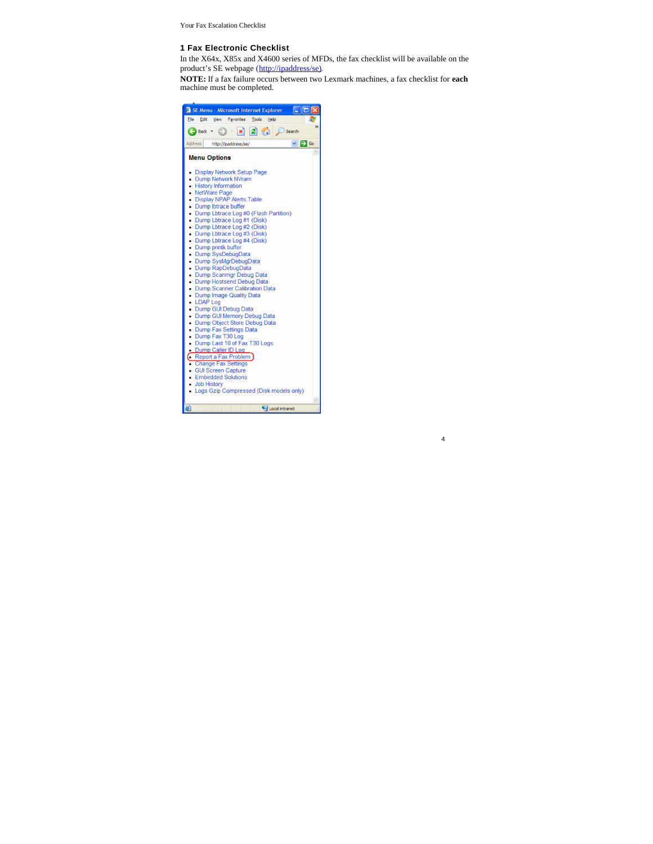### **1 Fax Electronic Checklist**

In the X64x, X85x and X4600 series of MFDs, the fax checklist will be available on the product's SE webpage (http://ipaddress/se).

**NOTE:** If a fax failure occurs between two Lexmark machines, a fax checklist for **each** machine must be completed.

| SE Menu - Microsoft Internet Explorer                                                                                                                                                                                                                                                                                                                                                                                                                                                                                                                                                                                                                                                                                                                                                                                                                                                                |
|------------------------------------------------------------------------------------------------------------------------------------------------------------------------------------------------------------------------------------------------------------------------------------------------------------------------------------------------------------------------------------------------------------------------------------------------------------------------------------------------------------------------------------------------------------------------------------------------------------------------------------------------------------------------------------------------------------------------------------------------------------------------------------------------------------------------------------------------------------------------------------------------------|
| File<br>Edit View Favorites<br>Tools<br>Help                                                                                                                                                                                                                                                                                                                                                                                                                                                                                                                                                                                                                                                                                                                                                                                                                                                         |
| $\vert x \vert \vert 2 \vert$ $\vert \cdot \vert$ $\vert$ Search<br>Back +                                                                                                                                                                                                                                                                                                                                                                                                                                                                                                                                                                                                                                                                                                                                                                                                                           |
| $\cdot \rightarrow \infty$<br>Address<br>http://ipaddress/se/                                                                                                                                                                                                                                                                                                                                                                                                                                                                                                                                                                                                                                                                                                                                                                                                                                        |
| <b>Menu Options</b>                                                                                                                                                                                                                                                                                                                                                                                                                                                                                                                                                                                                                                                                                                                                                                                                                                                                                  |
| • Display Network Setup Page<br>• Dump Network NVram<br>• History Information<br>• NetWare Page<br>• Display NPAP Alerts Table<br>• Dump Ibtrace buffer<br>• Dump Lbtrace Log #0 (Flash Partition)<br>• Dump Lbtrace Log #1 (Disk)<br>• Dump Lbtrace Log #2 (Disk)<br>• Dump Lbtrace Log #3 (Disk)<br>• Dump Lbtrace Log #4 (Disk)<br>• Dump printk buffer<br>• Dump SysDebugData<br>• Dump SysMgrDebugData<br>• Dump RapDebugData<br>• Dump Scanmgr Debug Data<br>• Dump Hostsend Debug Data<br>• Dump Scanner Calibration Data<br>• Dump Image Quality Data<br>• LDAP Log<br>• Dump GUI Debug Data<br>• Dump GUI Memory Debug Data<br>• Dump Object Store Debug Data<br>• Dump Fax Settings Data<br>• Dump Fax T30 Log<br>• Dump Last 10 of Fax T30 Logs<br>• Dump Caller ID Log<br>Report a Fax Problem<br>• Change Fax Settings<br>• GUI Screen Capture<br>• Embedded Solutions<br>• Job History |
| • Logs Gzip Compressed (Disk models only)                                                                                                                                                                                                                                                                                                                                                                                                                                                                                                                                                                                                                                                                                                                                                                                                                                                            |
| a)<br>Local intranet                                                                                                                                                                                                                                                                                                                                                                                                                                                                                                                                                                                                                                                                                                                                                                                                                                                                                 |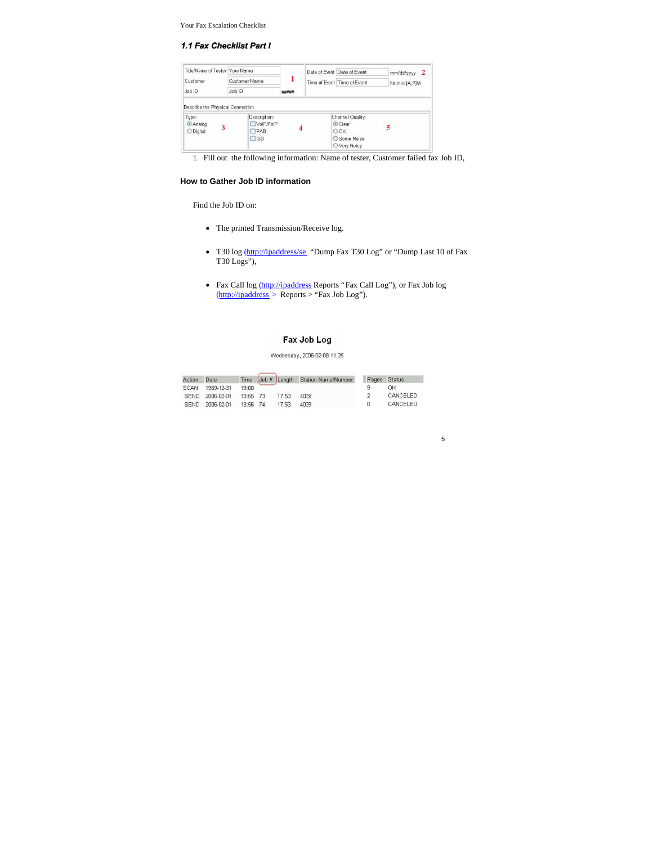#### 1.1 Fax Checklist Part I

| Title/Name of Tester Your Name    |                                      | 1     | Date of Event Date of Event | $mm/dd/\gamma\gamma\gamma\gamma$ 2 |
|-----------------------------------|--------------------------------------|-------|-----------------------------|------------------------------------|
| Customer                          | Customer Name                        |       |                             | Time of Event Time of Event        |
| Joh ID                            | Job ID                               | ##### |                             |                                    |
| Describe the Physical Connection: |                                      |       |                             |                                    |
| Type:                             | Description:                         |       | Channel Quality:            |                                    |
| $Q$ Analog<br>3                   | VolP/FolP                            |       | Clear                       |                                    |
| O Digital                         | <b>TPAB</b><br>$\Box$ <sub>ISD</sub> |       | OOK<br>O Some Noise         |                                    |

1. Fill out the following information: Name of tester, Customer failed fax Job ID,

# **How to Gather Job ID information**

Find the Job ID on:

- The printed Transmission/Receive log.
- T30 log (http://ipaddress/se "Dump Fax T30 Log" or "Dump Last 10 of Fax T30 Logs"),
- Fax Call log (http://ipaddress Reports "Fax Call Log"), or Fax Job log (http://ipaddress > Reports > "Fax Job Log").

# Fax Job Log

# Wednesday, 2006-02-08 11:25

| Action      | Date            | <b>Time</b> |       | Job # Length Station Name/Number | Pages Status |
|-------------|-----------------|-------------|-------|----------------------------------|--------------|
| SCAN        | 1969-12-31      | 19:00       |       |                                  | ΟK           |
|             | SEND 2006-02-01 | 13:55 73    | 17.53 | $AD = 9$                         | CANCELED     |
| <b>SEND</b> | 2006-02-01      | 13:56 74    | 17.53 | 40.99                            | CANCELED     |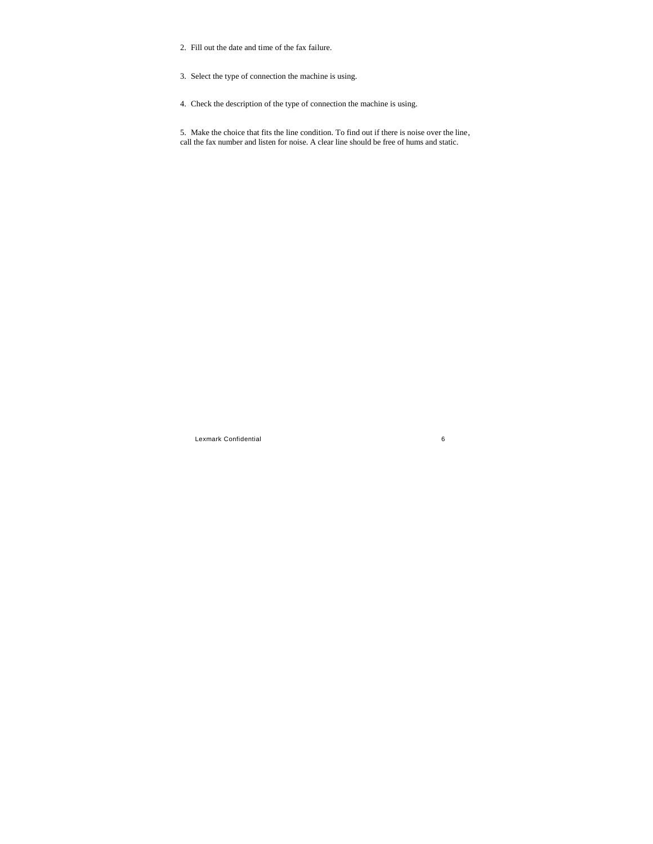- 2. Fill out the date and time of the fax failure.
- 3. Select the type of connection the machine is using.
- 4. Check the description of the type of connection the machine is using.

5. Make the choice that fits the line condition. To find out if there is noise over the line, call the fax number and listen for noise. A clear line should be free of hums and static.

Lexmark Confidential 6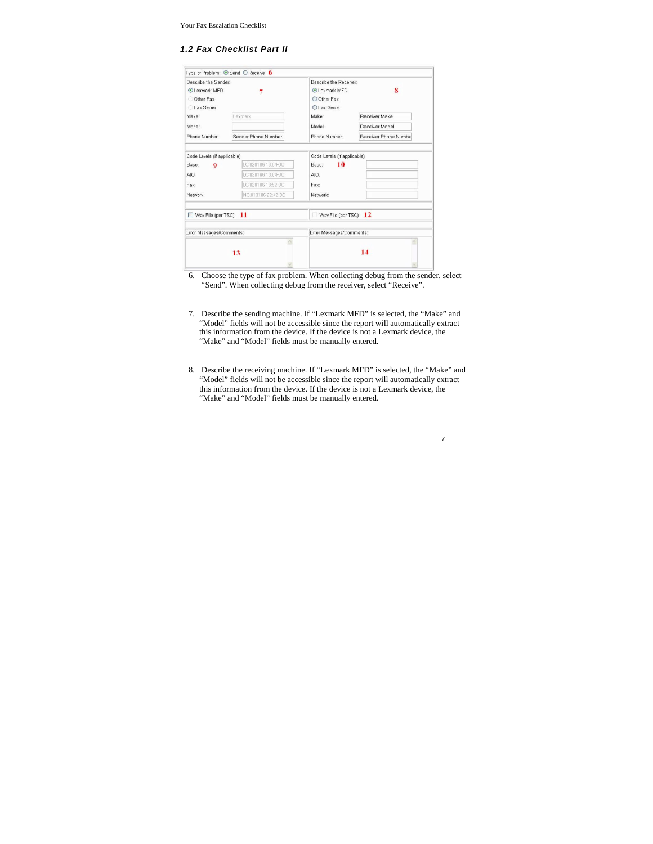# *1.2 Fax Checklist Part II*

| Describe the Sender            |                     | Describe the Receiver       |                       |
|--------------------------------|---------------------|-----------------------------|-----------------------|
| <b>OLexmark MFD</b>            |                     | <b>OLexmark MFD</b>         | 8                     |
| Other Fax                      |                     | O Other Fax                 |                       |
| <b>CTax Server</b>             |                     | <b>ОГах Зегиег</b>          |                       |
| Make:                          | Lexmark             | Make:                       | <b>Beceiver Make</b>  |
| Model:                         |                     | Model:                      | <b>Beceiver Model</b> |
| Phone Number                   | Sender Phone Number | Phone Number:               | Receiver Phone Numbe  |
|                                |                     |                             |                       |
| Code Levels (if applicable)    |                     | Code Levels (if applicable) |                       |
| Base:<br>9                     | LC.020106 13:04-0C  | 10<br>Base:                 |                       |
| AIO:                           | LC.02010613:04-0C   | AIO:                        |                       |
| Fax:                           | LC.020106 13:52-0C  | Fax:                        |                       |
| Network:                       | NC.013106 22:42-0C  | Network:                    |                       |
|                                |                     |                             |                       |
| $\Box$ Wav File (per TSC) $11$ |                     | Wav File (per TSC) $12$     |                       |
| Error Messages/Comments:       |                     | Error Messages/Comments:    |                       |
|                                | A                   |                             |                       |
|                                | 13                  |                             | 14                    |
|                                |                     |                             |                       |

- 6. Choose the type of fax problem. When collecting debug from the sender, select "Send". When collecting debug from the receiver, select "Receive".
- 7. Describe the sending machine. If "Lexmark MFD" is selected, the "Make" and "Model" fields will not be accessible since the report will automatically extract this information from the device. If the device is not a Lexmark device, the "Make" and "Model" fields must be manually entered.
- 8. Describe the receiving machine. If "Lexmark MFD" is selected, the "Make" and "Model" fields will not be accessible since the report will automatically extract this information from the device. If the device is not a Lexmark device, the "Make" and "Model" fields must be manually entered.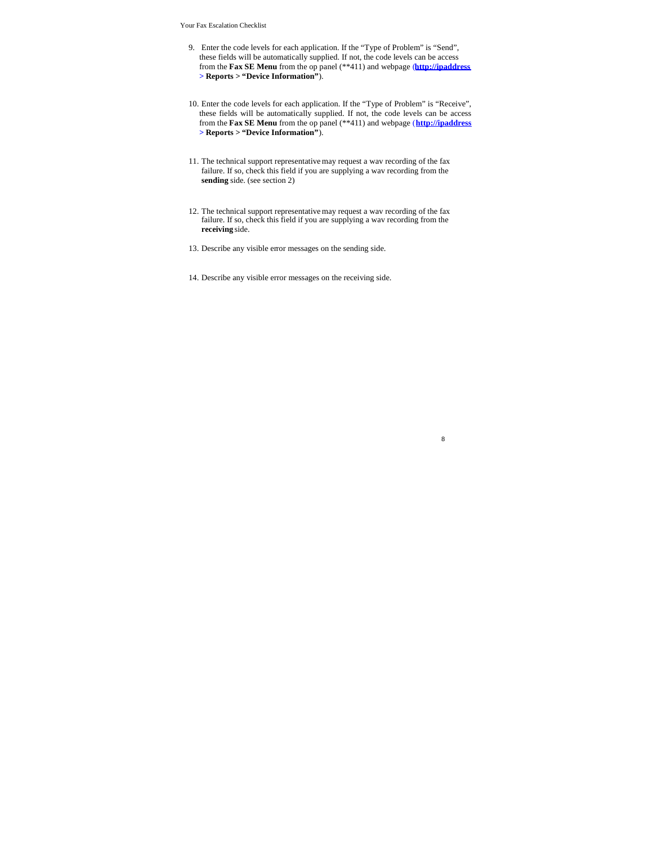- 9. Enter the code levels for each application. If the "Type of Problem" is "Send", these fields will be automatically supplied. If not, the code levels can be access from the **Fax SE Menu** from the op panel (\*\*411) and webpage (**http://ipaddress > Reports > "Device Information"**).
- 10. Enter the code levels for each application. If the "Type of Problem" is "Receive", these fields will be automatically supplied. If not, the code levels can be access from the **Fax SE Menu** from the op panel (\*\*411) and webpage (**http://ipaddress > Reports > "Device Information"**).
- 11. The technical support representative may request a wav recording of the fax failure. If so, check this field if you are supplying a wav recording from the **sending** side. (see section 2)
- 12. The technical support representative may request a wav recording of the fax failure. If so, check this field if you are supplying a wav recording from the **receiving** side.

- 13. Describe any visible error messages on the sending side.
- 14. Describe any visible error messages on the receiving side.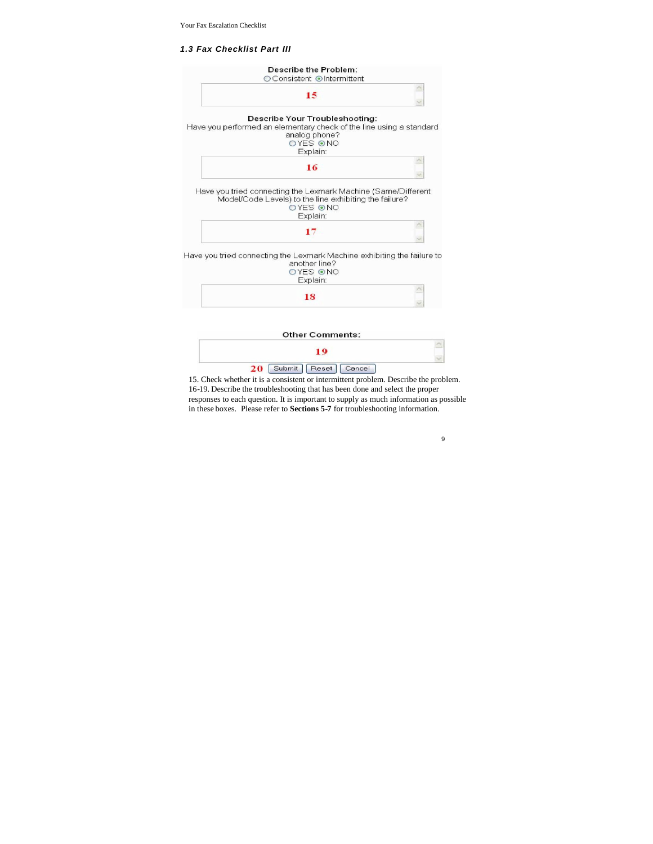# *1.3 Fax Checklist Part III*



 $\hat{\phantom{a}}$ 19  $\checkmark$ 20 [Submit] Reset | Cancel

15. Check whether it is a consistent or intermittent problem. Describe the problem. 16-19. Describe the troubleshooting that has been done and select the proper responses to each question. It is important to supply as much information as possible in these boxes. Please refer to **Sections 5-7** for troubleshooting information.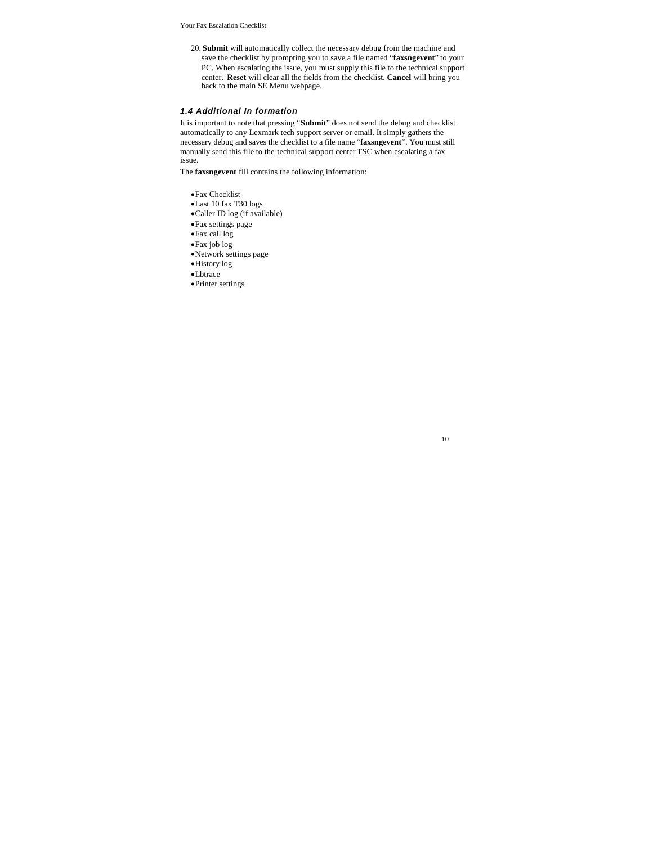20. **Submit** will automatically collect the necessary debug from the machine and save the checklist by prompting you to save a file named "**faxsngevent**" to your PC. When escalating the issue, you must supply this file to the technical support center. **Reset** will clear all the fields from the checklist. **Cancel** will bring you back to the main SE Menu webpage.

# *1.4 Additional In formation*

It is important to note that pressing "**Submit**" does not send the debug and checklist automatically to any Lexmark tech support server or email. It simply gathers the necessary debug and saves the checklist to a file name "**faxsngevent**". You must still manually send this file to the technical support center TSC when escalating a fax issue.

The **faxsngevent** fill contains the following information:

- Fax Checklist
- $\bullet$  Last 10 fax T30 logs
- Caller ID log (if available)
- Fax settings page
- Fax call log
- Fax job log
- Network settings page
- History log
- Lbtrace
- Printer settings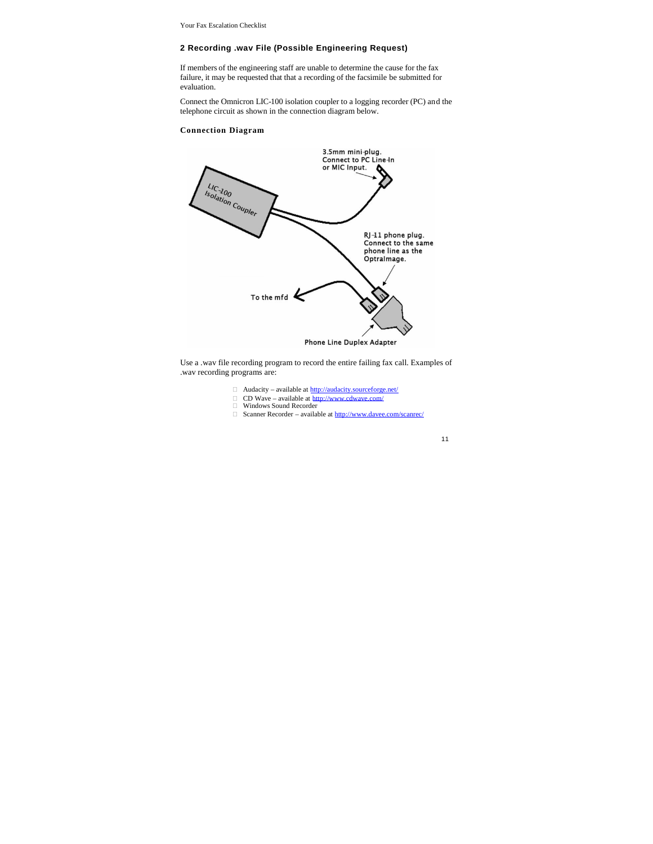### **2 Recording .wav File (Possible Engineering Request)**

If members of the engineering staff are unable to determine the cause for the fax failure, it may be requested that that a recording of the facsimile be submitted for evaluation.

Connect the Omnicron LIC-100 isolation coupler to a logging recorder (PC) and the telephone circuit as shown in the connection diagram below.

# **Connection Diagram**



Use a .wav file recording program to record the entire failing fax call. Examples of .wav recording programs are:

- □ Audacity available at http://audacity.sourceforge.net/
- □ CD Wave available at http://www.cdwave.com/<br>□ Windows Sound Recorder
- 
- $\Box$  Scanner Recorder available at http://www.davee.com/scanrec/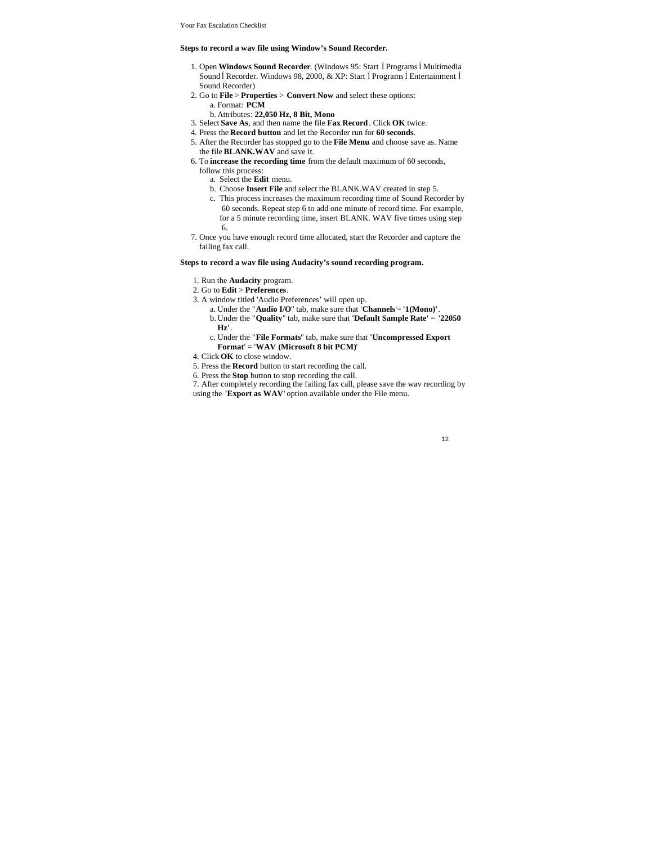#### **Steps to record a wav file using Window's Sound Recorder.**

- 1. Open **Windows Sound Recorder**. (Windows 95: Start ĺPrograms ĺMultimedia Sound Í Recorder. Windows 98, 2000, & XP: Start Í Programs Í Entertainment Í Sound Recorder)
- 2. Go to **File** > **Properties** > **Convert Now** and select these options: a. Format: **PCM**
	- b. Attributes: **22,050 Hz, 8 Bit, Mono**
- 3. Select **Save As**, and then name the file **Fax Record**. Click **OK** twice.
- 4. Press the **Record button** and let the Recorder run for **60 seconds**.
- 5. After the Recorder has stopped go to the **File Menu** and choose save as. Name the file **BLANK.WAV** and save it.
- 6. To **increase the recording time** from the default maximum of 60 seconds, follow this process:
	- a. Select the **Edit** menu.
	- b. Choose **Insert File** and select the BLANK.WAV created in step 5.
	- c. This process increases the maximum recording time of Sound Recorder by
		- 60 seconds. Repeat step 6 to add one minute of record time. For example, for a 5 minute recording time, insert BLANK. WAV five times using step 6.
- 7. Once you have enough record time allocated, start the Recorder and capture the failing fax call.

### **Steps to record a wav file using Audacity's sound recording program.**

- 1. Run the **Audacity** program.
- 2. Go to **Edit** > **Preferences**.
- 3. A window titled 'Audio Preferences' will open up.
	- a. Under the "**Audio I/O**" tab, make sure that '**Channels**'= **'1(Mono)'**. b. Under the "**Quality**" tab, make sure that **'Default Sample Rate'** = **'22050**
	- **Hz'**. c. Under the "**File Formats**" tab, make sure that **'Uncompressed Export Format**' = '**WAV (Microsoft 8 bit PCM)**'
- 4. Click **OK** to close window.
- 5. Press the **Record** button to start recording the call.
- 6. Press the **Stop** button to stop recording the call.
- 7. After completely recording the failing fax call, please save the wav recording by
- using the **'Export as WAV'** option available under the File menu.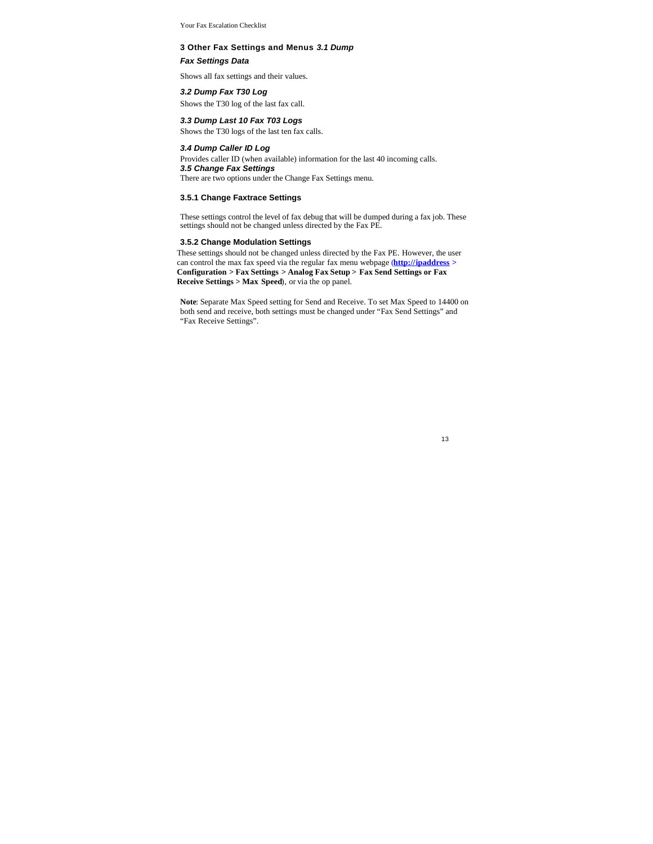#### **3 Other Fax Settings and Menus** *3.1 Dump*

*Fax Settings Data*

Shows all fax settings and their values.

#### *3.2 Dump Fax T30 Log*

Shows the T30 log of the last fax call.

# *3.3 Dump Last 10 Fax T03 Logs*

Shows the T30 logs of the last ten fax calls.

#### *3.4 Dump Caller ID Log*

Provides caller ID (when available) information for the last 40 incoming calls. *3.5 Change Fax Settings* There are two options under the Change Fax Settings menu.

# **3.5.1 Change Faxtrace Settings**

These settings control the level of fax debug that will be dumped during a fax job. These settings should not be changed unless directed by the Fax PE.

# **3.5.2 Change Modulation Settings**

These settings should not be changed unless directed by the Fax PE. However, the user can control the max fax speed via the regular fax menu webpage (**http://ipaddress > Configuration > Fax Settings > Analog Fax Setup > Fax Send Settings or Fax Receive Settings > Max Speed**), or via the op panel.

**Note**: Separate Max Speed setting for Send and Receive. To set Max Speed to 14400 on both send and receive, both settings must be changed under "Fax Send Settings" and "Fax Receive Settings".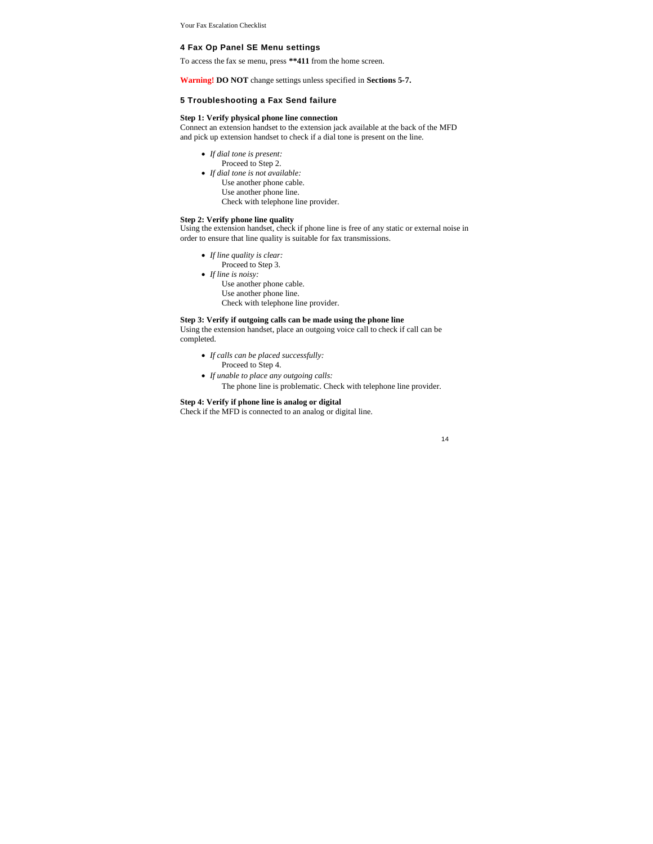#### **4 Fax Op Panel SE Menu settings**

To access the fax se menu, press **\*\*411** from the home screen.

**Warning! DO NOT** change settings unless specified in **Sections 5-7.**

# **5 Troubleshooting a Fax Send failure**

#### **Step 1: Verify physical phone line connection**

Connect an extension handset to the extension jack available at the back of the MFD and pick up extension handset to check if a dial tone is present on the line.

- *If dial tone is present:*
	- Proceed to Step 2.
- *If dial tone is not available:* Use another phone cable. Use another phone line.
	- Check with telephone line provider.

#### **Step 2: Verify phone line quality**

Using the extension handset, check if phone line is free of any static or external noise in order to ensure that line quality is suitable for fax transmissions.

- *If line quality is clear:*
- Proceed to Step 3.
- *If line is noisy:*
	- Use another phone cable.
	- Use another phone line.
	- Check with telephone line provider.

#### **Step 3: Verify if outgoing calls can be made using the phone line**

Using the extension handset, place an outgoing voice call to check if call can be completed.

- *If calls can be placed successfully:* Proceed to Step 4.
- *If unable to place any outgoing calls:*
	- The phone line is problematic. Check with telephone line provider.

### **Step 4: Verify if phone line is analog or digital**

Check if the MFD is connected to an analog or digital line.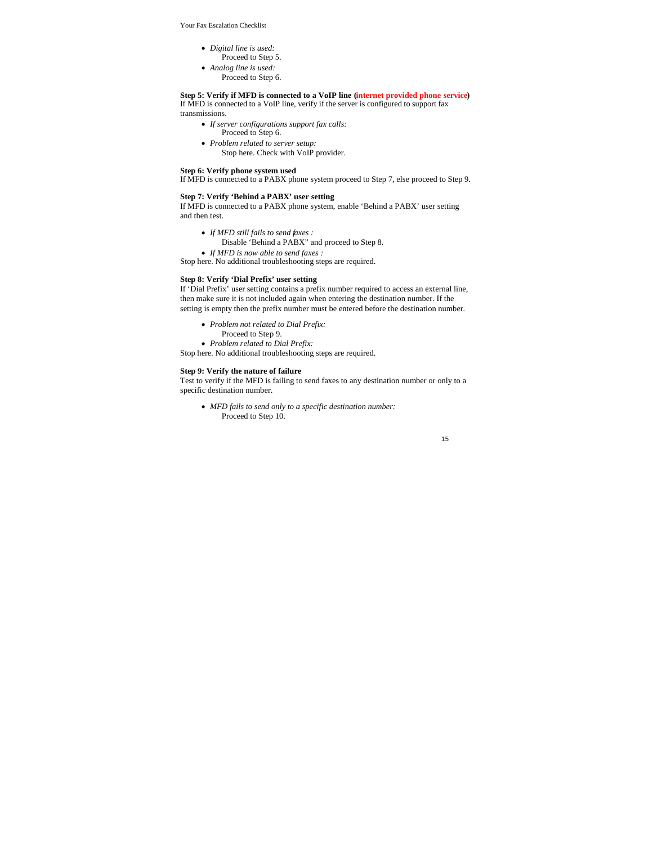- *Digital line is used:*
	- Proceed to Step 5.
- *Analog line is used:*
	- Proceed to Step 6.

**Step 5: Verify if MFD is connected to a VoIP line (internet provided phone service)** If MFD is connected to a VoIP line, verify if the server is configured to support fax transmissions.

- *If server configurations support fax calls:* Proceed to Step 6.
- 
- *Problem related to server setup:*
- Stop here. Check with VoIP provider.

### **Step 6: Verify phone system used**

If MFD is connected to a PABX phone system proceed to Step 7, else proceed to Step 9.

#### **Step 7: Verify 'Behind a PABX' user setting**

If MFD is connected to a PABX phone system, enable 'Behind a PABX' user setting and then test.

- *If MFD still fails to send faxes :*
	- Disable 'Behind a PABX" and proceed to Step 8.
- *If MFD is now able to send faxes :*

Stop here. No additional troubleshooting steps are required.

#### **Step 8: Verify 'Dial Prefix' user setting**

If 'Dial Prefix' user setting contains a prefix number required to access an external line, then make sure it is not included again when entering the destination number. If the setting is empty then the prefix number must be entered before the destination number.

- *Problem not related to Dial Prefix:*
	- Proceed to Step 9.

*Problem related to Dial Prefix:*

Stop here. No additional troubleshooting steps are required.

#### **Step 9: Verify the nature of failure**

Test to verify if the MFD is failing to send faxes to any destination number or only to a specific destination number.

*MFD fails to send only to a specific destination number:* Proceed to Step 10.

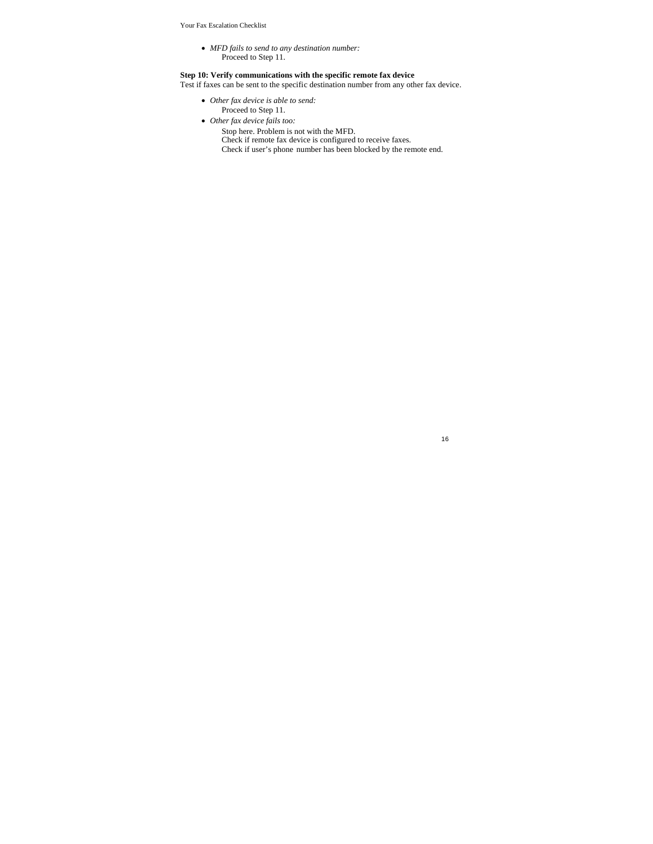*MFD fails to send to any destination number:* Proceed to Step 11.

# **Step 10: Verify communications with the specific remote fax device**

Test if faxes can be sent to the specific destination number from any other fax device.

- *Other fax device is able to send:* Proceed to Step 11.
- *Other fax device fails too:*
	- Stop here. Problem is not with the MFD.
		- Check if remote fax device is configured to receive faxes.
		- Check if user's phone number has been blocked by the remote end.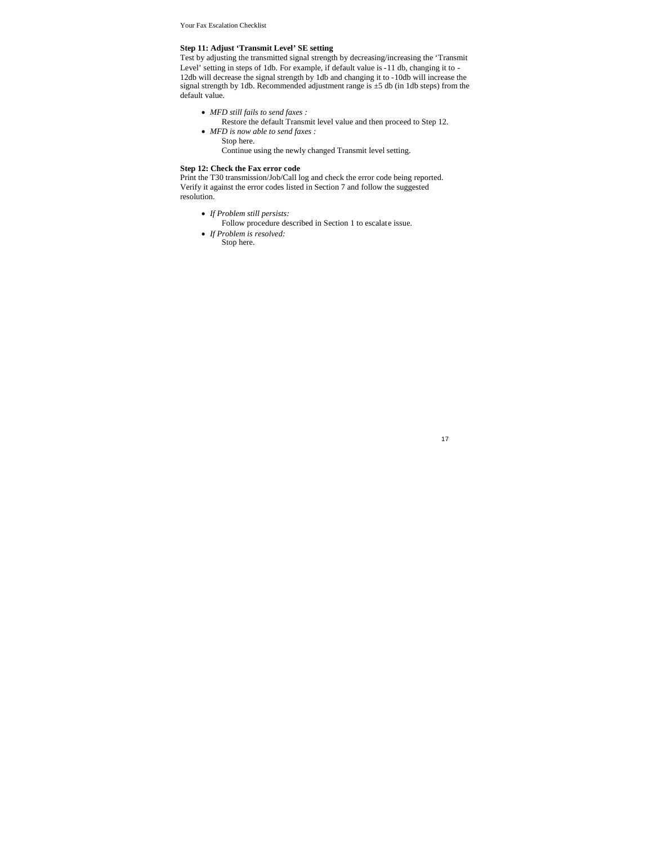### **Step 11: Adjust 'Transmit Level' SE setting**

Test by adjusting the transmitted signal strength by decreasing/increasing the 'Transmit Level' setting in steps of 1db. For example, if default value is -11 db, changing it to - 12db will decrease the signal strength by 1db and changing it to -10db will increase the signal strength by 1db. Recommended adjustment range is ±5 db (in 1db steps) from the default value.

- *MFD still fails to send faxes :*
- Restore the default Transmit level value and then proceed to Step 12.
- *MFD is now able to send faxes :* Stop here.
	- Continue using the newly changed Transmit level setting.

### **Step 12: Check the Fax error code**

Print the T30 transmission/Job/Call log and check the error code being reported. Verify it against the error codes listed in Section 7 and follow the suggested resolution.

- *If Problem still persists:*
- Follow procedure described in Section 1 to escalate issue.
- *If Problem is resolved:* Stop here.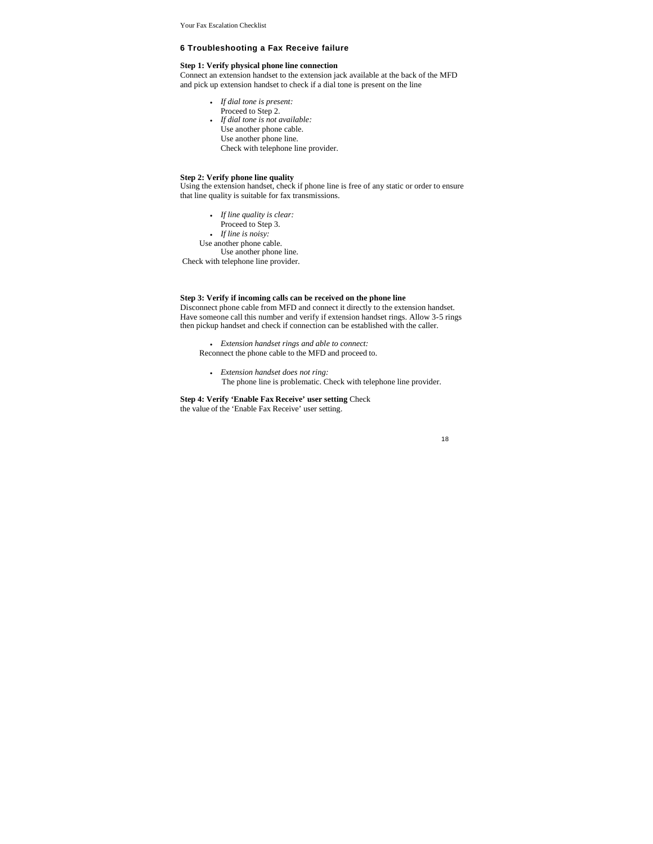### **6 Troubleshooting a Fax Receive failure**

# **Step 1: Verify physical phone line connection**

Connect an extension handset to the extension jack available at the back of the MFD and pick up extension handset to check if a dial tone is present on the line

- *If dial tone is present:*
- Proceed to Step 2.
- *If dial tone is not available:* Use another phone cable. Use another phone line. Check with telephone line provider.

#### **Step 2: Verify phone line quality**

Using the extension handset, check if phone line is free of any static or order to ensure that line quality is suitable for fax transmissions.

- *If line quality is clear:*
- Proceed to Step 3.
- *If line is noisy:*
- Use another phone cable. Use another phone line.

Check with telephone line provider.

#### **Step 3: Verify if incoming calls can be received on the phone line**

Disconnect phone cable from MFD and connect it directly to the extension handset. Have someone call this number and verify if extension handset rings. Allow 3-5 rings then pickup handset and check if connection can be established with the caller.

 *Extension handset rings and able to connect:* Reconnect the phone cable to the MFD and proceed to.

 *Extension handset does not ring:* The phone line is problematic. Check with telephone line provider.

**Step 4: Verify 'Enable Fax Receive' user setting** Check the value of the 'Enable Fax Receive' user setting.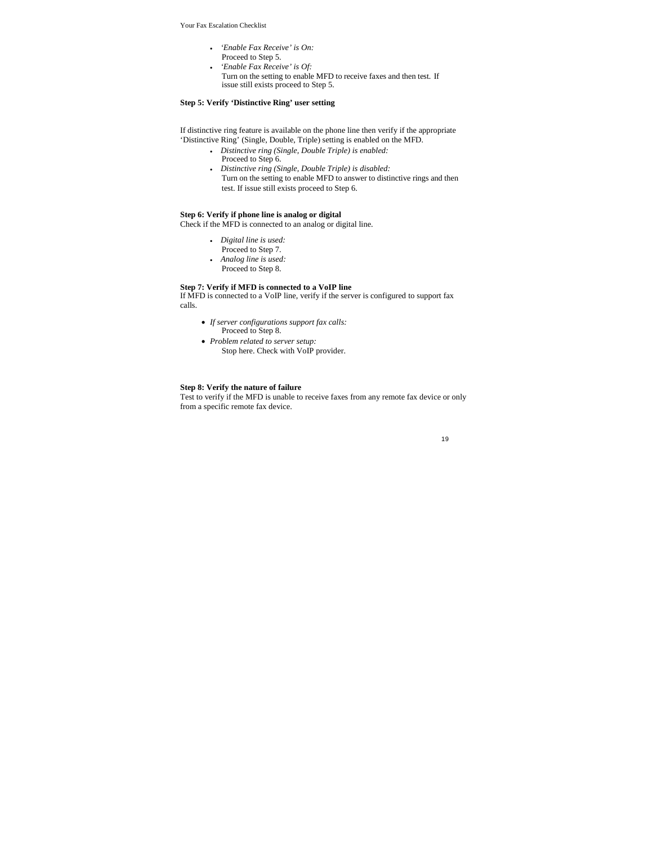- *'Enable Fax Receive' is On:*
- Proceed to Step 5.
- *'Enable Fax Receive' is Of:* Turn on the setting to enable MFD to receive faxes and then test. If issue still exists proceed to Step 5.

#### **Step 5: Verify 'Distinctive Ring' user setting**

If distinctive ring feature is available on the phone line then verify if the appropriate 'Distinctive Ring' (Single, Double, Triple) setting is enabled on the MFD.

- *Distinctive ring (Single, Double Triple) is enabled:*
	- Proceed to Step 6.
- *Distinctive ring (Single, Double Triple) is disabled:*
- Turn on the setting to enable MFD to answer to distinctive rings and then test. If issue still exists proceed to Step 6.

# **Step 6: Verify if phone line is analog or digital**

Check if the MFD is connected to an analog or digital line.

- *Digital line is used:*
- Proceed to Step 7.
- *Analog line is used:*
- Proceed to Step 8.

# **Step 7: Verify if MFD is connected to a VoIP line**

If MFD is connected to a VoIP line, verify if the server is configured to support fax calls.

- *If server configurations support fax calls:* Proceed to Step 8.
- *Problem related to server setup:* Stop here. Check with VoIP provider.

### **Step 8: Verify the nature of failure**

Test to verify if the MFD is unable to receive faxes from any remote fax device or only from a specific remote fax device.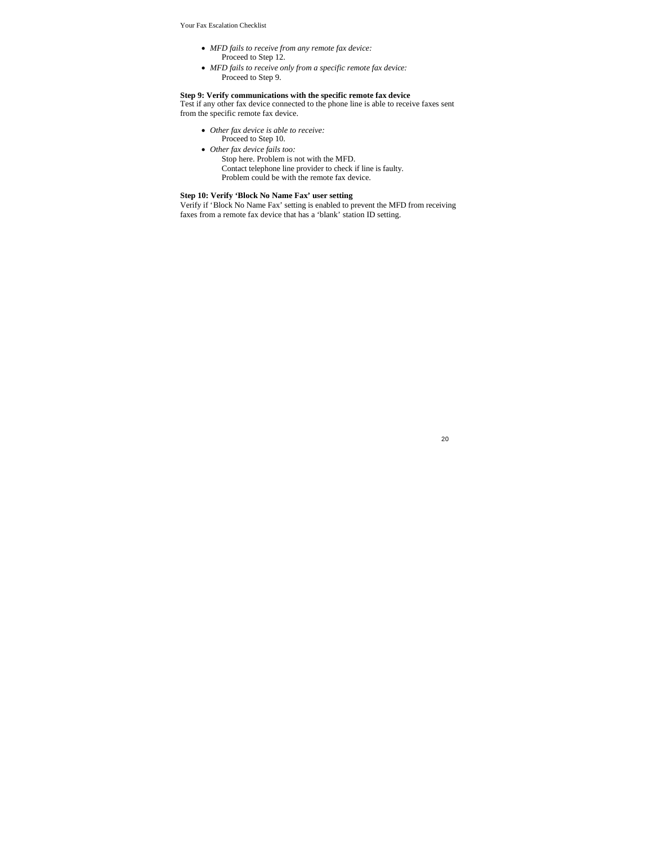- *MFD fails to receive from any remote fax device:* Proceed to Step 12.
- *MFD fails to receive only from a specific remote fax device:* Proceed to Step 9.

#### **Step 9: Verify communications with the specific remote fax device**

Test if any other fax device connected to the phone line is able to receive faxes sent from the specific remote fax device.

- *Other fax device is able to receive:*
- Proceed to Step 10.
- *Other fax device fails too:*
	- Stop here. Problem is not with the MFD. Contact telephone line provider to check if line is faulty. Problem could be with the remote fax device.

# **Step 10: Verify 'Block No Name Fax' user setting**

Verify if 'Block No Name Fax' setting is enabled to prevent the MFD from receiving faxes from a remote fax device that has a 'blank' station ID setting.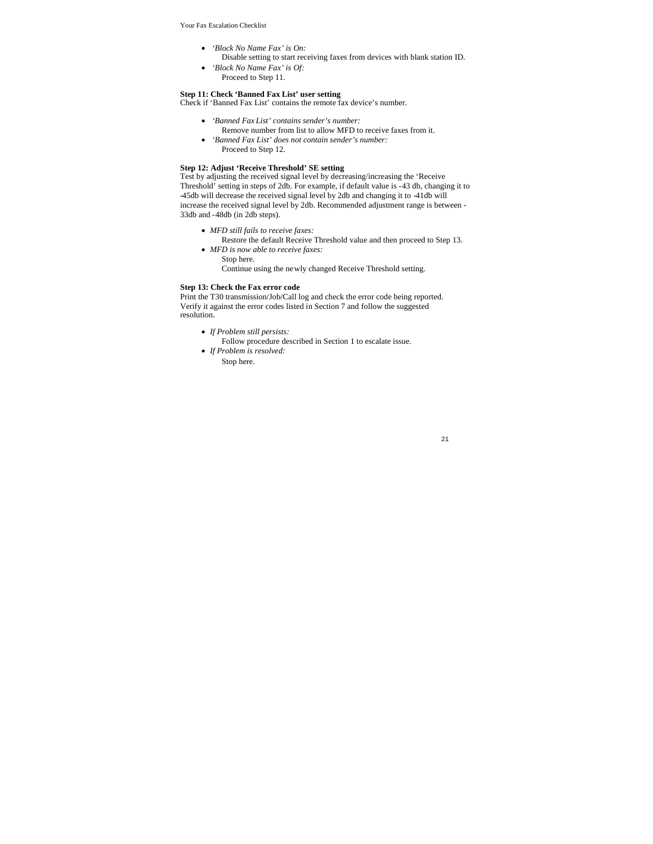- *'Block No Name Fax' is On:*
	- Disable setting to start receiving faxes from devices with blank station ID.
- *'Block No Name Fax' is Of:* Proceed to Step 11.
- 

#### **Step 11: Check 'Banned Fax List' user setting** Check if 'Banned Fax List' contains the remote fax device's number.

- *'Banned Fax List' contains sender's number:*
	- Remove number from list to allow MFD to receive faxes from it.
- *'Banned Fax List' does not contain sender's number:* Proceed to Step 12.

### **Step 12: Adjust 'Receive Threshold' SE setting**

Test by adjusting the received signal level by decreasing/increasing the 'Receive Threshold' setting in steps of 2db. For example, if default value is -43 db, changing it to -45db will decrease the received signal level by 2db and changing it to -41db will increase the received signal level by 2db. Recommended adjustment range is between - 33db and -48db (in 2db steps).

- *MFD still fails to receive faxes:*
- Restore the default Receive Threshold value and then proceed to Step 13. *MFD is now able to receive faxes:*
- Stop here.
	- Continue using the newly changed Receive Threshold setting.

### **Step 13: Check the Fax error code**

Print the T30 transmission/Job/Call log and check the error code being reported. Verify it against the error codes listed in Section 7 and follow the suggested resolution.

- *If Problem still persists:*
	- Follow procedure described in Section 1 to escalate issue.
- *If Problem is resolved:* Stop here.
	-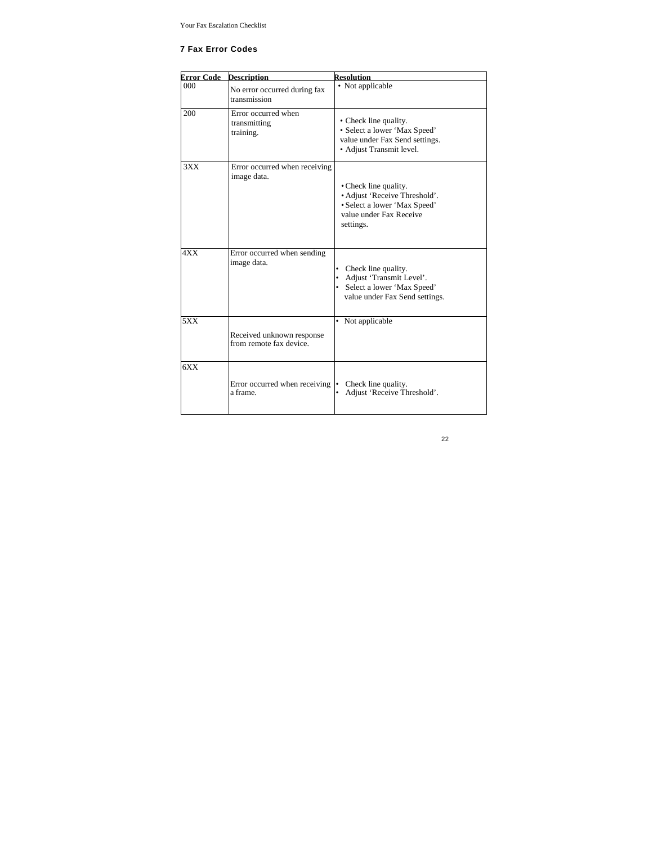# **7 Fax Error Codes**

| <b>Error Code</b> | <b>Description</b>                                    | <b>Resolution</b>                                                                                                              |
|-------------------|-------------------------------------------------------|--------------------------------------------------------------------------------------------------------------------------------|
| 000               | No error occurred during fax<br>transmission          | • Not applicable                                                                                                               |
| 200               | Error occurred when<br>transmitting<br>training.      | • Check line quality.<br>• Select a lower 'Max Speed'<br>value under Fax Send settings.<br>• Adjust Transmit level.            |
| 3XX               | Error occurred when receiving<br>image data.          | • Check line quality.<br>• Adjust 'Receive Threshold'.<br>• Select a lower 'Max Speed'<br>value under Fax Receive<br>settings. |
| 4XX               | Error occurred when sending<br>image data.            | Check line quality.<br>٠<br>Adjust 'Transmit Level'.<br>Select a lower 'Max Speed'<br>٠<br>value under Fax Send settings.      |
| 5XX               | Received unknown response<br>from remote fax device.  | • Not applicable                                                                                                               |
| 6XX               | Error occurred when receiving $  \cdot  $<br>a frame. | Check line quality.<br>Adjust 'Receive Threshold'.                                                                             |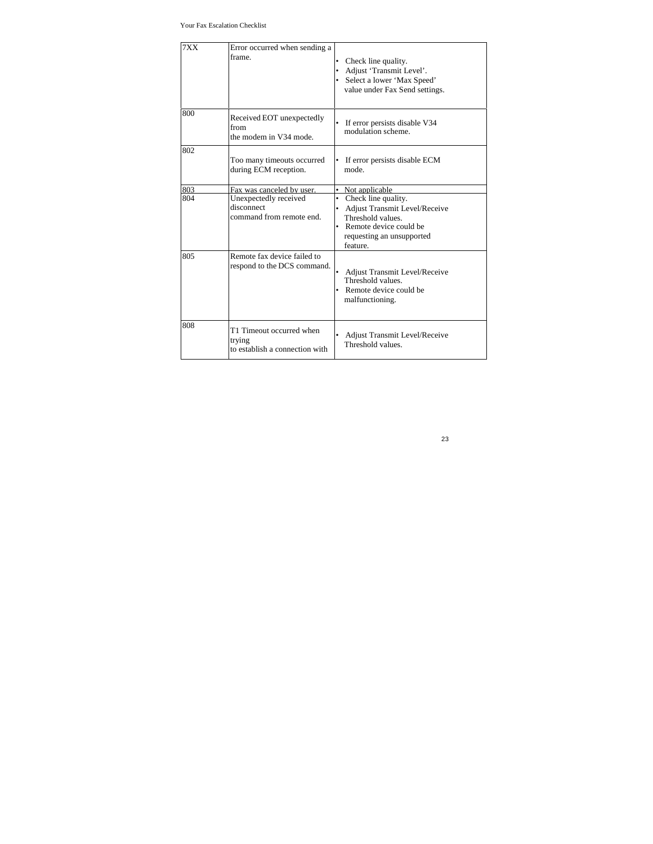| 7XX | Error occurred when sending a<br>frame.                              | Check line quality.<br>Adjust 'Transmit Level'.<br>Select a lower 'Max Speed'<br>value under Fax Send settings.                                        |
|-----|----------------------------------------------------------------------|--------------------------------------------------------------------------------------------------------------------------------------------------------|
| 800 | Received EOT unexpectedly<br>from<br>the modem in V34 mode.          | If error persists disable V34<br>modulation scheme.                                                                                                    |
| 802 | Too many timeouts occurred<br>during ECM reception.                  | If error persists disable ECM<br>٠<br>mode                                                                                                             |
| 803 | Fax was canceled by user.                                            | Not applicable<br>٠                                                                                                                                    |
| 804 | Unexpectedly received<br>disconnect<br>command from remote end.      | Check line quality.<br>٠<br>Adjust Transmit Level/Receive<br>۰<br>Threshold values.<br>Remote device could be<br>requesting an unsupported<br>feature. |
| 805 | Remote fax device failed to<br>respond to the DCS command.           | Adjust Transmit Level/Receive<br>Threshold values.<br>Remote device could be<br>malfunctioning.                                                        |
| 808 | T1 Timeout occurred when<br>trying<br>to establish a connection with | Adjust Transmit Level/Receive<br>٠<br>Threshold values.                                                                                                |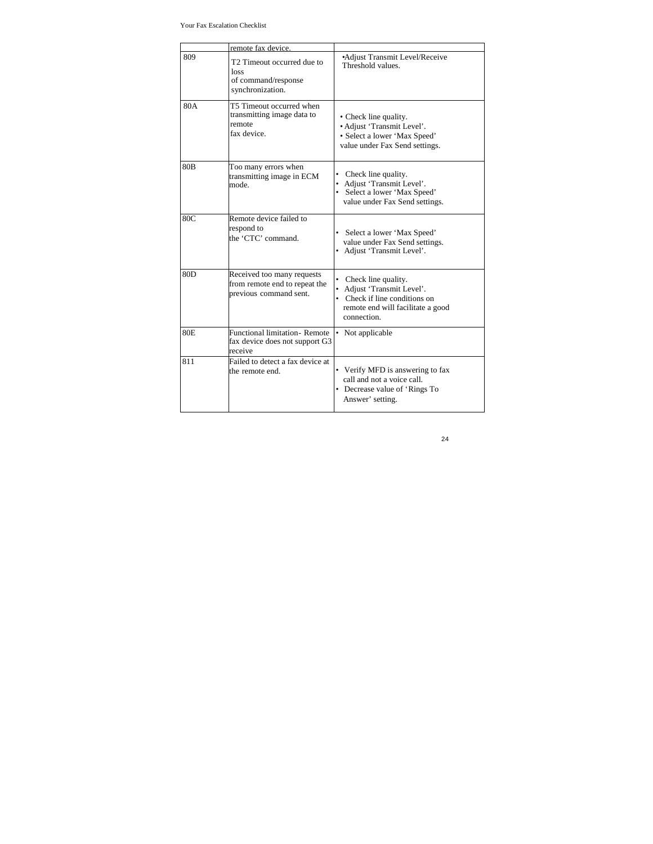|                 | remote fax device.                                                                    |                                                                                                                                              |
|-----------------|---------------------------------------------------------------------------------------|----------------------------------------------------------------------------------------------------------------------------------------------|
| 809             | T2 Timeout occurred due to<br>loss<br>of command/response<br>synchronization.         | •Adjust Transmit Level/Receive<br>Threshold values.                                                                                          |
| 80A             | T5 Timeout occurred when<br>transmitting image data to<br>remote<br>fax device.       | • Check line quality.<br>· Adjust 'Transmit Level'.<br>· Select a lower 'Max Speed'<br>value under Fax Send settings.                        |
| 80 <sub>B</sub> | Too many errors when<br>transmitting image in ECM<br>mode.                            | Check line quality.<br>٠<br>Adjust 'Transmit Level'.<br>• Select a lower 'Max Speed'<br>value under Fax Send settings.                       |
| 80C             | Remote device failed to<br>respond to<br>the 'CTC' command.                           | • Select a lower 'Max Speed'<br>value under Fax Send settings.<br>• Adjust 'Transmit Level'.                                                 |
| 80 <sub>D</sub> | Received too many requests<br>from remote end to repeat the<br>previous command sent. | Check line quality.<br>٠<br>Adjust 'Transmit Level'.<br>Check if line conditions on<br>٠<br>remote end will facilitate a good<br>connection. |
| 80E             | <b>Functional limitation- Remote</b><br>fax device does not support G3<br>receive     | • Not applicable                                                                                                                             |
| 811             | Failed to detect a fax device at<br>the remote end.                                   | • Verify MFD is answering to fax<br>call and not a voice call.<br>• Decrease value of 'Rings To<br>Answer' setting.                          |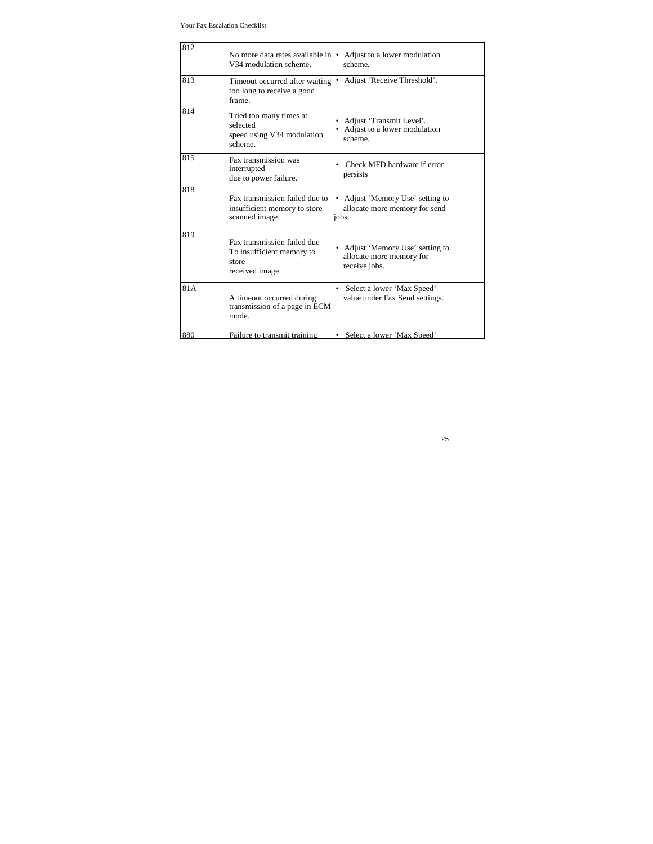Your Fax Escalation Checklist

| 812 | No more data rates available in  •<br>V34 modulation scheme.                         | Adjust to a lower modulation<br>scheme.                                       |
|-----|--------------------------------------------------------------------------------------|-------------------------------------------------------------------------------|
| 813 | Timeout occurred after waiting<br>too long to receive a good<br>frame.               | Adjust 'Receive Threshold'.<br>$\bullet$                                      |
| 814 | Tried too many times at<br>selected<br>speed using V34 modulation<br>scheme.         | Adjust 'Transmit Level'.<br>٠<br>• Adjust to a lower modulation<br>scheme.    |
| 815 | Fax transmission was<br>interrupted<br>due to power failure.                         | Check MFD hardware if error<br>persists                                       |
| 818 | Fax transmission failed due to<br>insufficient memory to store<br>scanned image.     | • Adjust 'Memory Use' setting to<br>allocate more memory for send<br>iobs.    |
| 819 | Fax transmission failed due<br>To insufficient memory to<br>store<br>received image. | • Adjust 'Memory Use' setting to<br>allocate more memory for<br>receive jobs. |
| 81A | A timeout occurred during<br>transmission of a page in ECM<br>mode.                  | Select a lower 'Max Speed'<br>$\bullet$<br>value under Fax Send settings.     |
| 880 | Failure to transmit training                                                         | Select a lower 'Max Speed'                                                    |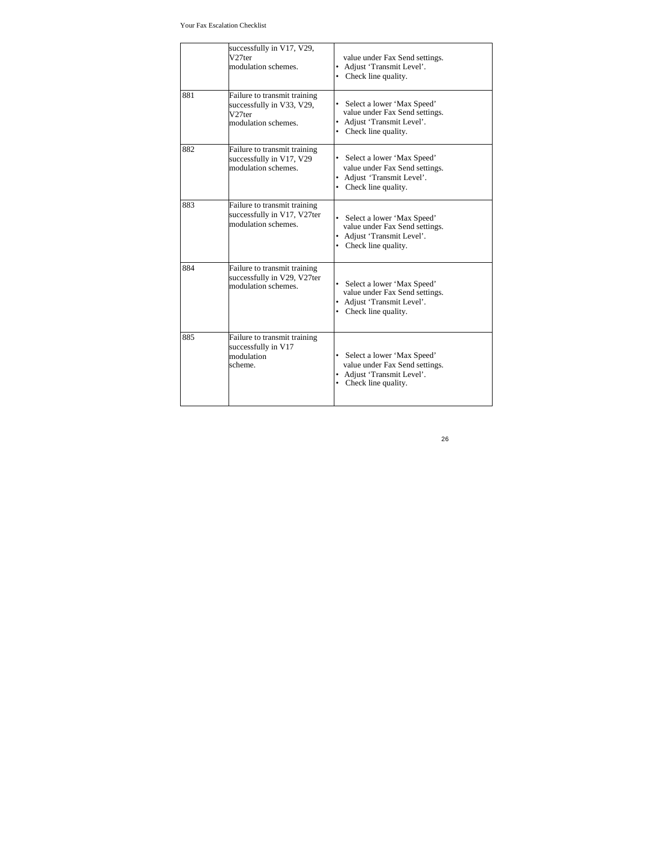|     | successfully in V17, V29,<br>V <sub>27ter</sub><br>modulation schemes.                                 | value under Fax Send settings.<br>• Adjust 'Transmit Level'.<br>• Check line quality.                                 |
|-----|--------------------------------------------------------------------------------------------------------|-----------------------------------------------------------------------------------------------------------------------|
| 881 | Failure to transmit training<br>successfully in V33, V29,<br>V <sub>27ter</sub><br>modulation schemes. | • Select a lower 'Max Speed'<br>value under Fax Send settings.<br>• Adjust 'Transmit Level'.<br>• Check line quality. |
| 882 | Failure to transmit training<br>successfully in V17, V29<br>modulation schemes                         | • Select a lower 'Max Speed'<br>value under Fax Send settings.<br>• Adjust 'Transmit Level'.<br>• Check line quality. |
| 883 | Failure to transmit training<br>successfully in V17, V27ter<br>modulation schemes.                     | • Select a lower 'Max Speed'<br>value under Fax Send settings.<br>• Adjust 'Transmit Level'.<br>• Check line quality. |
| 884 | Failure to transmit training<br>successfully in V29, V27ter<br>modulation schemes.                     | • Select a lower 'Max Speed'<br>value under Fax Send settings.<br>• Adjust 'Transmit Level'.<br>• Check line quality. |
| 885 | Failure to transmit training<br>successfully in V17<br>modulation<br>scheme.                           | • Select a lower 'Max Speed'<br>value under Fax Send settings.<br>• Adjust 'Transmit Level'.<br>• Check line quality. |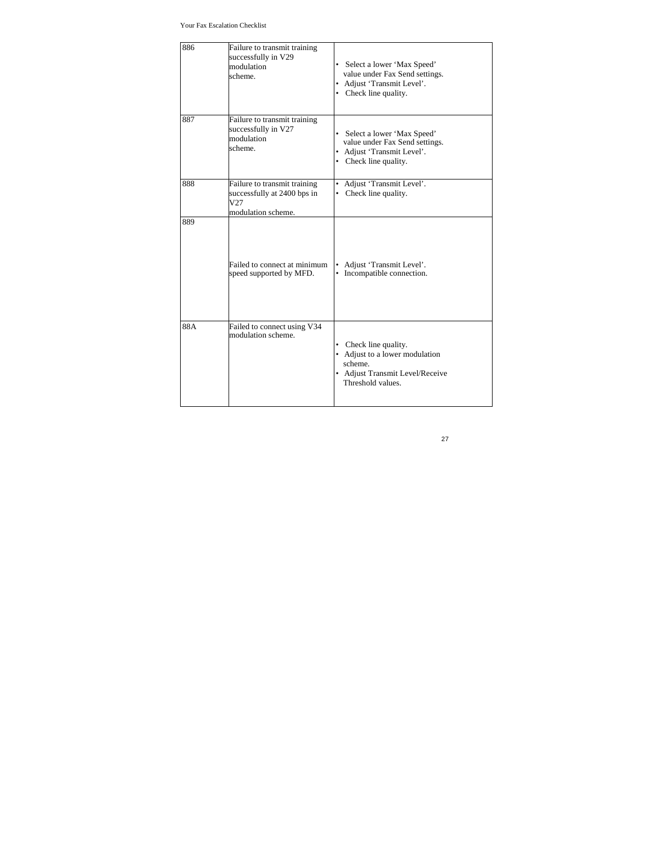| 886 | Failure to transmit training<br>successfully in V29<br>modulation<br>scheme.             | Select a lower 'Max Speed'<br>value under Fax Send settings.<br>• Adjust 'Transmit Level'.<br>• Check line quality.        |
|-----|------------------------------------------------------------------------------------------|----------------------------------------------------------------------------------------------------------------------------|
| 887 | Failure to transmit training<br>successfully in V27<br>modulation<br>scheme.             | Select a lower 'Max Speed'<br>value under Fax Send settings.<br>• Adjust 'Transmit Level'.<br>• Check line quality.        |
| 888 | Failure to transmit training<br>successfully at 2400 bps in<br>V27<br>modulation scheme. | • Adjust 'Transmit Level'.<br>• Check line quality.                                                                        |
| 889 | Failed to connect at minimum<br>speed supported by MFD.                                  | Adjust 'Transmit Level'.<br>Incompatible connection.                                                                       |
| 88A | Failed to connect using V34<br>modulation scheme.                                        | • Check line quality.<br>• Adjust to a lower modulation<br>scheme.<br>• Adjust Transmit Level/Receive<br>Threshold values. |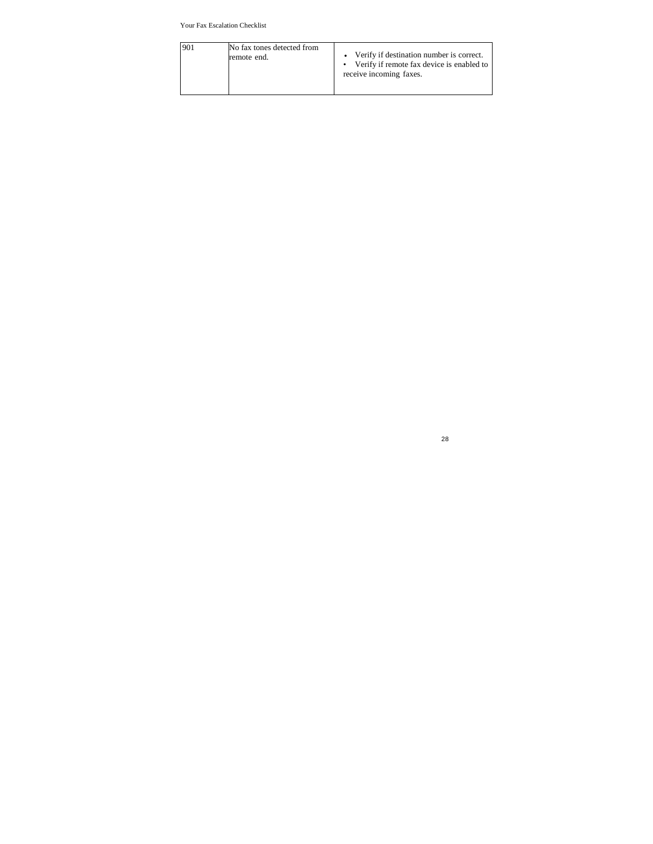| 901 | No fax tones detected from<br>remote end. | • Verify if destination number is correct.<br>• Verify if remote fax device is enabled to<br>receive incoming faxes. |
|-----|-------------------------------------------|----------------------------------------------------------------------------------------------------------------------|
|     |                                           |                                                                                                                      |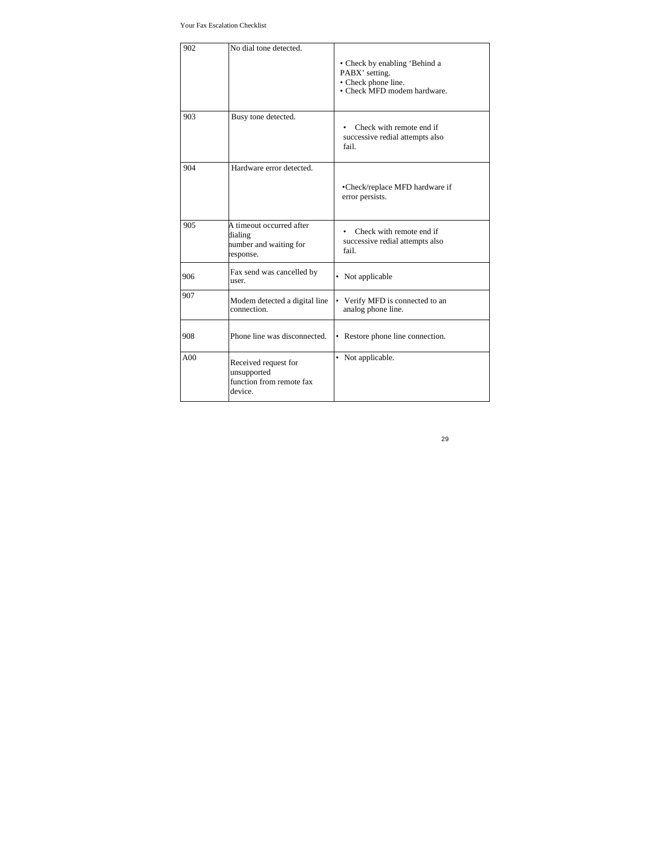| 902 | No dial tone detected.                                                     | • Check by enabling 'Behind a<br>PABX' setting.<br>• Check phone line.<br>• Check MFD modem hardware. |
|-----|----------------------------------------------------------------------------|-------------------------------------------------------------------------------------------------------|
| 903 | Busy tone detected.                                                        | Check with remote end if<br>successive redial attempts also<br>fail.                                  |
| 904 | Hardware error detected.                                                   | •Check/replace MFD hardware if<br>error persists.                                                     |
| 905 | A timeout occurred after<br>dialing<br>number and waiting for<br>response. | Check with remote end if<br>$\bullet$<br>successive redial attempts also<br>fail.                     |
| 906 | Fax send was cancelled by<br>user.                                         | • Not applicable                                                                                      |
| 907 | Modem detected a digital line<br>connection                                | Verify MFD is connected to an<br>٠<br>analog phone line.                                              |
| 908 | Phone line was disconnected.                                               | • Restore phone line connection.                                                                      |
| A00 | Received request for<br>unsupported<br>function from remote fax<br>device. | • Not applicable.                                                                                     |